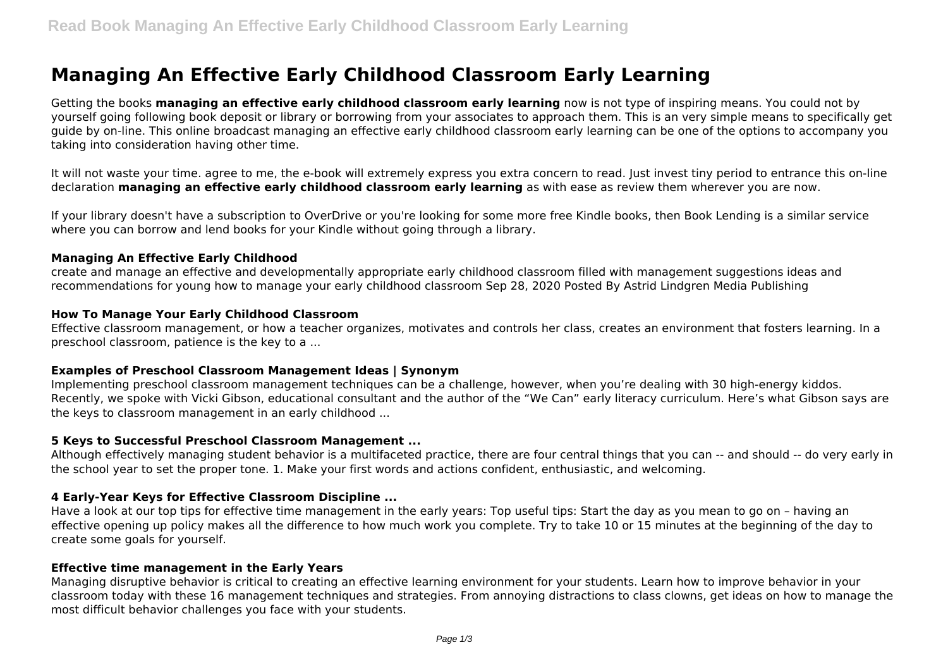# **Managing An Effective Early Childhood Classroom Early Learning**

Getting the books **managing an effective early childhood classroom early learning** now is not type of inspiring means. You could not by yourself going following book deposit or library or borrowing from your associates to approach them. This is an very simple means to specifically get guide by on-line. This online broadcast managing an effective early childhood classroom early learning can be one of the options to accompany you taking into consideration having other time.

It will not waste your time. agree to me, the e-book will extremely express you extra concern to read. Just invest tiny period to entrance this on-line declaration **managing an effective early childhood classroom early learning** as with ease as review them wherever you are now.

If your library doesn't have a subscription to OverDrive or you're looking for some more free Kindle books, then Book Lending is a similar service where you can borrow and lend books for your Kindle without going through a library.

#### **Managing An Effective Early Childhood**

create and manage an effective and developmentally appropriate early childhood classroom filled with management suggestions ideas and recommendations for young how to manage your early childhood classroom Sep 28, 2020 Posted By Astrid Lindgren Media Publishing

## **How To Manage Your Early Childhood Classroom**

Effective classroom management, or how a teacher organizes, motivates and controls her class, creates an environment that fosters learning. In a preschool classroom, patience is the key to a ...

#### **Examples of Preschool Classroom Management Ideas | Synonym**

Implementing preschool classroom management techniques can be a challenge, however, when you're dealing with 30 high-energy kiddos. Recently, we spoke with Vicki Gibson, educational consultant and the author of the "We Can" early literacy curriculum. Here's what Gibson says are the keys to classroom management in an early childhood ...

#### **5 Keys to Successful Preschool Classroom Management ...**

Although effectively managing student behavior is a multifaceted practice, there are four central things that you can -- and should -- do very early in the school year to set the proper tone. 1. Make your first words and actions confident, enthusiastic, and welcoming.

# **4 Early-Year Keys for Effective Classroom Discipline ...**

Have a look at our top tips for effective time management in the early years: Top useful tips: Start the day as you mean to go on – having an effective opening up policy makes all the difference to how much work you complete. Try to take 10 or 15 minutes at the beginning of the day to create some goals for yourself.

#### **Effective time management in the Early Years**

Managing disruptive behavior is critical to creating an effective learning environment for your students. Learn how to improve behavior in your classroom today with these 16 management techniques and strategies. From annoying distractions to class clowns, get ideas on how to manage the most difficult behavior challenges you face with your students.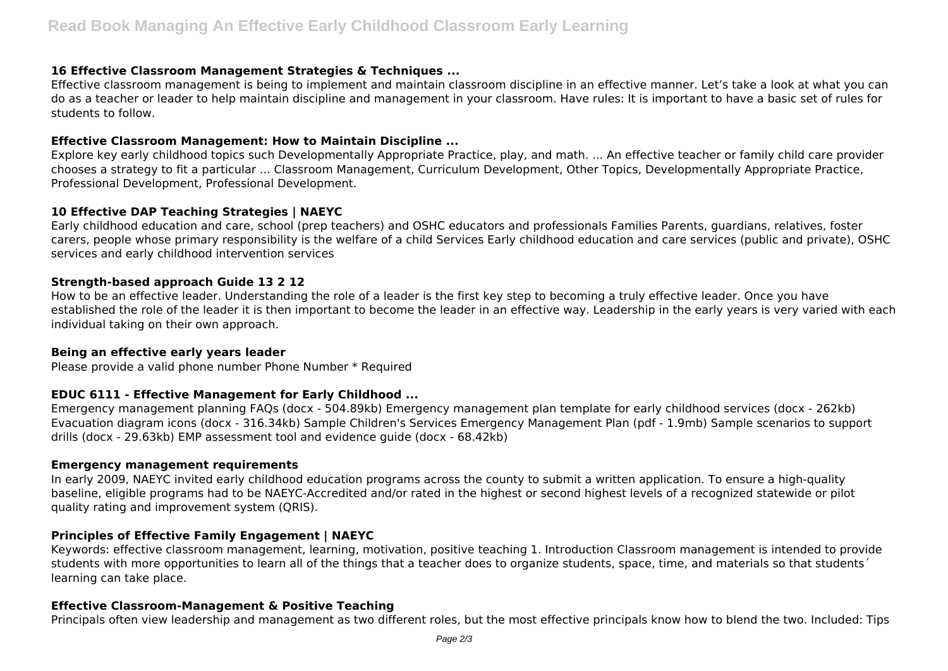## **16 Effective Classroom Management Strategies & Techniques ...**

Effective classroom management is being to implement and maintain classroom discipline in an effective manner. Let's take a look at what you can do as a teacher or leader to help maintain discipline and management in your classroom. Have rules: It is important to have a basic set of rules for students to follow.

## **Effective Classroom Management: How to Maintain Discipline ...**

Explore key early childhood topics such Developmentally Appropriate Practice, play, and math. ... An effective teacher or family child care provider chooses a strategy to fit a particular ... Classroom Management, Curriculum Development, Other Topics, Developmentally Appropriate Practice, Professional Development, Professional Development.

# **10 Effective DAP Teaching Strategies | NAEYC**

Early childhood education and care, school (prep teachers) and OSHC educators and professionals Families Parents, guardians, relatives, foster carers, people whose primary responsibility is the welfare of a child Services Early childhood education and care services (public and private), OSHC services and early childhood intervention services

## **Strength-based approach Guide 13 2 12**

How to be an effective leader. Understanding the role of a leader is the first key step to becoming a truly effective leader. Once you have established the role of the leader it is then important to become the leader in an effective way. Leadership in the early years is very varied with each individual taking on their own approach.

## **Being an effective early years leader**

Please provide a valid phone number Phone Number \* Required

# **EDUC 6111 - Effective Management for Early Childhood ...**

Emergency management planning FAQs (docx - 504.89kb) Emergency management plan template for early childhood services (docx - 262kb) Evacuation diagram icons (docx - 316.34kb) Sample Children's Services Emergency Management Plan (pdf - 1.9mb) Sample scenarios to support drills (docx - 29.63kb) EMP assessment tool and evidence guide (docx - 68.42kb)

#### **Emergency management requirements**

In early 2009, NAEYC invited early childhood education programs across the county to submit a written application. To ensure a high-quality baseline, eligible programs had to be NAEYC-Accredited and/or rated in the highest or second highest levels of a recognized statewide or pilot quality rating and improvement system (QRIS).

# **Principles of Effective Family Engagement | NAEYC**

Keywords: effective classroom management, learning, motivation, positive teaching 1. Introduction Classroom management is intended to provide students with more opportunities to learn all of the things that a teacher does to organize students, space, time, and materials so that students' learning can take place.

# **Effective Classroom-Management & Positive Teaching**

Principals often view leadership and management as two different roles, but the most effective principals know how to blend the two. Included: Tips